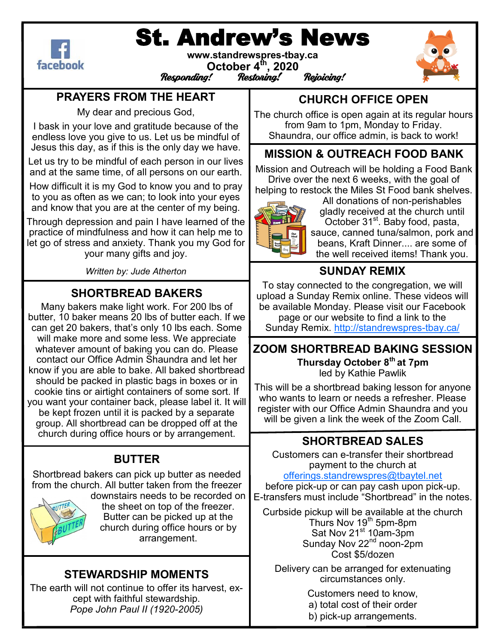

# St. Andrew's News

**www.standrewspres-tbay.ca October 4th, 2020** CCCCC++ , **2020**<br>Responding! Restoning! Rejoicing!



## **PRAYERS FROM THE HEART**

My dear and precious God,

I bask in your love and gratitude because of the endless love you give to us. Let us be mindful of Jesus this day, as if this is the only day we have.

Let us try to be mindful of each person in our lives and at the same time, of all persons on our earth.

How difficult it is my God to know you and to pray to you as often as we can; to look into your eyes and know that you are at the center of my being.

Through depression and pain I have learned of the practice of mindfulness and how it can help me to let go of stress and anxiety. Thank you my God for your many gifts and joy.

*Written by: Jude Atherton*

# **SHORTBREAD BAKERS**

Many bakers make light work. For 200 lbs of butter, 10 baker means 20 lbs of butter each. If we can get 20 bakers, that's only 10 lbs each. Some will make more and some less. We appreciate whatever amount of baking you can do. Please contact our Office Admin Shaundra and let her know if you are able to bake. All baked shortbread should be packed in plastic bags in boxes or in cookie tins or airtight containers of some sort. If you want your container back, please label it. It will be kept frozen until it is packed by a separate group. All shortbread can be dropped off at the church during office hours or by arrangement.

# **BUTTER**

Shortbread bakers can pick up butter as needed from the church. All butter taken from the freezer



downstairs needs to be recorded on the sheet on top of the freezer. Butter can be picked up at the church during office hours or by arrangement.

## **STEWARDSHIP MOMENTS**

The earth will not continue to offer its harvest, except with faithful stewardship. *Pope John Paul II (1920-2005)*

# **CHURCH OFFICE OPEN**

The church office is open again at its regular hours from 9am to 1pm, Monday to Friday. Shaundra, our office admin, is back to work!

#### **MISSION & OUTREACH FOOD BANK**

Mission and Outreach will be holding a Food Bank Drive over the next 6 weeks, with the goal of helping to restock the Miles St Food bank shelves.



All donations of non-perishables gladly received at the church until October 31<sup>st</sup>. Baby food, pasta, sauce, canned tuna/salmon, pork and beans, Kraft Dinner.... are some of the well received items! Thank you.

## **SUNDAY REMIX**

To stay connected to the congregation, we will upload a Sunday Remix online. These videos will be available Monday. Please visit our Facebook page or our website to find a link to the Sunday Remix. [http://standrewspres](http://standrewspres-tbay.ca/)-tbay.ca/

#### **ZOOM SHORTBREAD BAKING SESSION Thursday October 8th at 7pm** led by Kathie Pawlik

This will be a shortbread baking lesson for anyone who wants to learn or needs a refresher. Please register with our Office Admin Shaundra and you will be given a link the week of the Zoom Call.

# **SHORTBREAD SALES**

Customers can e-transfer their shortbread payment to the church at [offerings.standrewspres@tbaytel.net](mailto:offerings.standrewspres@tbaytel.net)

before pick-up or can pay cash upon pick-up. E-transfers must include "Shortbread" in the notes.

Curbside pickup will be available at the church Thurs Nov 19<sup>th</sup> 5pm-8pm Sat Nov 21<sup>st</sup> 10am-3pm Sunday Nov 22<sup>nd</sup> noon-2pm Cost \$5/dozen

Delivery can be arranged for extenuating circumstances only.

Customers need to know,

- a) total cost of their order
- b) pick-up arrangements.